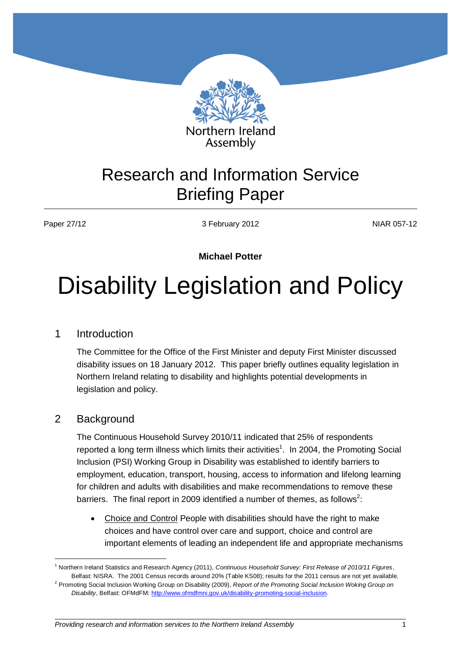

# Research and Information Service Briefing Paper

Paper 27/12 **NIAR 057-12** 3 February 2012 **NIAR 057-12** 

#### **Michael Potter**

# Disability Legislation and Policy

#### 1 Introduction

The Committee for the Office of the First Minister and deputy First Minister discussed disability issues on 18 January 2012. This paper briefly outlines equality legislation in Northern Ireland relating to disability and highlights potential developments in legislation and policy.

#### 2 Background

1

The Continuous Household Survey 2010/11 indicated that 25% of respondents reported a long term illness which limits their activities<sup>1</sup>. In 2004, the Promoting Social Inclusion (PSI) Working Group in Disability was established to identify barriers to employment, education, transport, housing, access to information and lifelong learning for children and adults with disabilities and make recommendations to remove these barriers. The final report in 2009 identified a number of themes, as follows<sup>2</sup>:

• Choice and Control People with disabilities should have the right to make choices and have control over care and support, choice and control are important elements of leading an independent life and appropriate mechanisms

<sup>1</sup> Northern Ireland Statistics and Research Agency (2011), *Continuous Household Survey: First Release of 2010/11 Figures*, Belfast: NISRA. The 2001 Census records around 20% (Table KS08); results for the 2011 census are not yet available.

<sup>2</sup> Promoting Social Inclusion Working Group on Disability (2009), *Report of the Promoting Social Inclusion Woking Group on Disability*, Belfast: OFMdFM[: http://www.ofmdfmni.gov.uk/disability-promoting-social-inclusion.](http://www.ofmdfmni.gov.uk/disability-promoting-social-inclusion)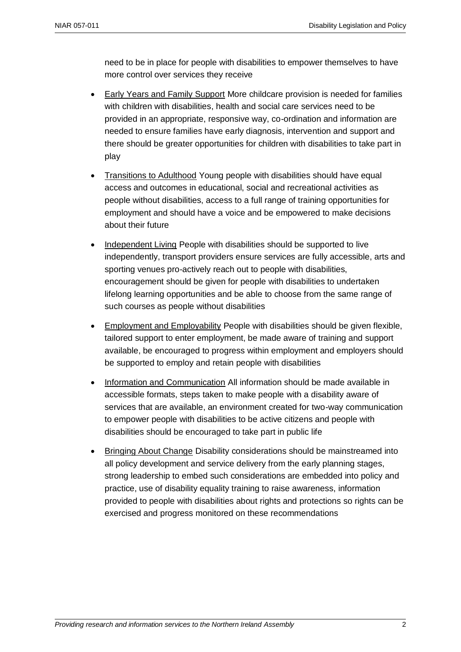need to be in place for people with disabilities to empower themselves to have more control over services they receive

- Early Years and Family Support More childcare provision is needed for families with children with disabilities, health and social care services need to be provided in an appropriate, responsive way, co-ordination and information are needed to ensure families have early diagnosis, intervention and support and there should be greater opportunities for children with disabilities to take part in play
- Transitions to Adulthood Young people with disabilities should have equal access and outcomes in educational, social and recreational activities as people without disabilities, access to a full range of training opportunities for employment and should have a voice and be empowered to make decisions about their future
- Independent Living People with disabilities should be supported to live independently, transport providers ensure services are fully accessible, arts and sporting venues pro-actively reach out to people with disabilities, encouragement should be given for people with disabilities to undertaken lifelong learning opportunities and be able to choose from the same range of such courses as people without disabilities
- **Employment and Employability People with disabilities should be given flexible,** tailored support to enter employment, be made aware of training and support available, be encouraged to progress within employment and employers should be supported to employ and retain people with disabilities
- Information and Communication All information should be made available in accessible formats, steps taken to make people with a disability aware of services that are available, an environment created for two-way communication to empower people with disabilities to be active citizens and people with disabilities should be encouraged to take part in public life
- Bringing About Change Disability considerations should be mainstreamed into all policy development and service delivery from the early planning stages, strong leadership to embed such considerations are embedded into policy and practice, use of disability equality training to raise awareness, information provided to people with disabilities about rights and protections so rights can be exercised and progress monitored on these recommendations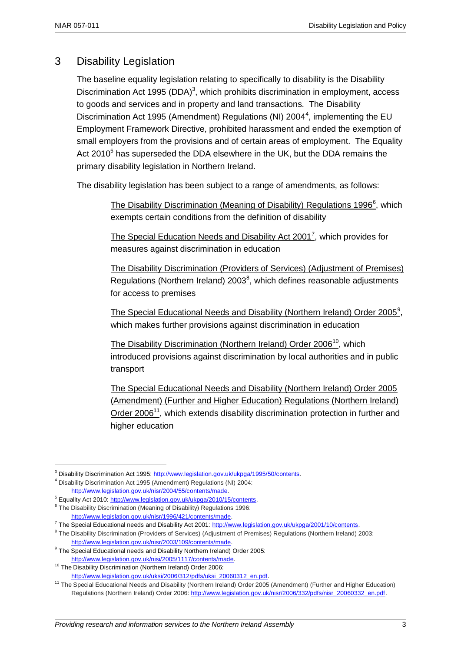## 3 Disability Legislation

The baseline equality legislation relating to specifically to disability is the Disability Discrimination Act 1995 (DDA)<sup>3</sup>, which prohibits discrimination in employment, access to goods and services and in property and land transactions. The Disability Discrimination Act 1995 (Amendment) Regulations (NI) 2004<sup>4</sup>, implementing the EU Employment Framework Directive, prohibited harassment and ended the exemption of small employers from the provisions and of certain areas of employment. The Equality Act 2010<sup>5</sup> has superseded the DDA elsewhere in the UK, but the DDA remains the primary disability legislation in Northern Ireland.

The disability legislation has been subject to a range of amendments, as follows:

The Disability Discrimination (Meaning of Disability) Regulations 1996<sup>6</sup>, which exempts certain conditions from the definition of disability

The Special Education Needs and Disability Act 2001<sup>7</sup>, which provides for measures against discrimination in education

The Disability Discrimination (Providers of Services) (Adjustment of Premises) Regulations (Northern Ireland) 2003<sup>8</sup>, which defines reasonable adjustments for access to premises

The Special Educational Needs and Disability (Northern Ireland) Order 2005<sup>9</sup>, which makes further provisions against discrimination in education

The Disability Discrimination (Northern Ireland) Order 2006<sup>10</sup>, which introduced provisions against discrimination by local authorities and in public transport

The Special Educational Needs and Disability (Northern Ireland) Order 2005 (Amendment) (Further and Higher Education) Regulations (Northern Ireland) Order 2006<sup>11</sup>, which extends disability discrimination protection in further and higher education

1

<sup>&</sup>lt;sup>3</sup> Disability Discrimination Act 1995: [http://www.legislation.gov.uk/ukpga/1995/50/contents.](http://www.legislation.gov.uk/ukpga/1995/50/contents)

<sup>4</sup> Disability Discrimination Act 1995 (Amendment) Regulations (NI) 2004:

[http://www.legislation.gov.uk/nisr/2004/55/contents/made.](http://www.legislation.gov.uk/nisr/2004/55/contents/made)

<sup>&</sup>lt;sup>5</sup> Equality Act 2010[: http://www.legislation.gov.uk/ukpga/2010/15/contents.](http://www.legislation.gov.uk/ukpga/2010/15/contents)

<sup>&</sup>lt;sup>6</sup> The Disability Discrimination (Meaning of Disability) Regulations 1996: [http://www.legislation.gov.uk/nisr/1996/421/contents/made.](http://www.legislation.gov.uk/nisr/1996/421/contents/made) 

<sup>&</sup>lt;sup>7</sup> The Special Educational needs and Disability Act 2001: [http://www.legislation.gov.uk/ukpga/2001/10/contents.](http://www.legislation.gov.uk/ukpga/2001/10/contents)

<sup>&</sup>lt;sup>8</sup> The Disability Discrimination (Providers of Services) (Adjustment of Premises) Regulations (Northern Ireland) 2003: [http://www.legislation.gov.uk/nisr/2003/109/contents/made.](http://www.legislation.gov.uk/nisr/2003/109/contents/made) 

<sup>&</sup>lt;sup>9</sup> The Special Educational needs and Disability Northern Ireland) Order 2005: [http://www.legislation.gov.uk/nisi/2005/1117/contents/made.](http://www.legislation.gov.uk/nisi/2005/1117/contents/made)

<sup>&</sup>lt;sup>10</sup> The Disability Discrimination (Northern Ireland) Order 2006:

[http://www.legislation.gov.uk/uksi/2006/312/pdfs/uksi\\_20060312\\_en.pdf.](http://www.legislation.gov.uk/uksi/2006/312/pdfs/uksi_20060312_en.pdf) 

<sup>&</sup>lt;sup>11</sup> The Special Educational Needs and Disability (Northern Ireland) Order 2005 (Amendment) (Further and Higher Education) Regulations (Northern Ireland) Order 2006: [http://www.legislation.gov.uk/nisr/2006/332/pdfs/nisr\\_20060332\\_en.pdf.](http://www.legislation.gov.uk/nisr/2006/332/pdfs/nisr_20060332_en.pdf)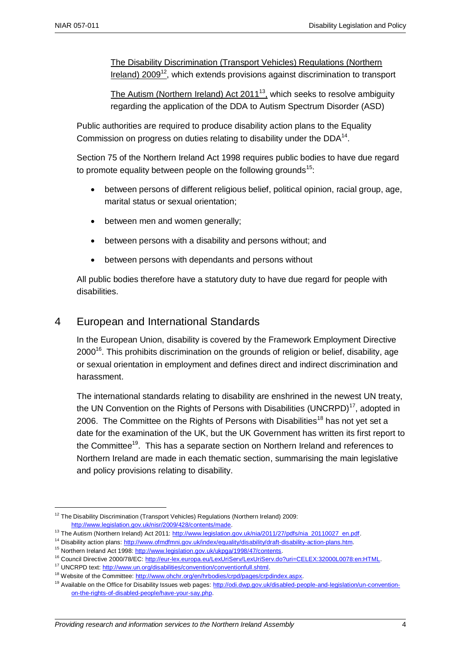The Disability Discrimination (Transport Vehicles) Regulations (Northern Ireland) 2009<sup>12</sup>, which extends provisions against discrimination to transport

The Autism (Northern Ireland) Act 2011<sup>13</sup>, which seeks to resolve ambiguity regarding the application of the DDA to Autism Spectrum Disorder (ASD)

Public authorities are required to produce disability action plans to the Equality Commission on progress on duties relating to disability under the  $DDA<sup>14</sup>$ .

Section 75 of the Northern Ireland Act 1998 requires public bodies to have due regard to promote equality between people on the following grounds<sup>15</sup>:

- between persons of different religious belief, political opinion, racial group, age, marital status or sexual orientation;
- between men and women generally;
- between persons with a disability and persons without; and
- between persons with dependants and persons without

All public bodies therefore have a statutory duty to have due regard for people with disabilities.

#### 4 European and International Standards

In the European Union, disability is covered by the Framework Employment Directive 2000<sup>16</sup>. This prohibits discrimination on the grounds of religion or belief, disability, age or sexual orientation in employment and defines direct and indirect discrimination and harassment.

The international standards relating to disability are enshrined in the newest UN treaty, the UN Convention on the Rights of Persons with Disabilities (UNCRPD) $<sup>17</sup>$ , adopted in</sup> 2006. The Committee on the Rights of Persons with Disabilities<sup>18</sup> has not yet set a date for the examination of the UK, but the UK Government has written its first report to the Committee<sup>19</sup>. This has a separate section on Northern Ireland and references to Northern Ireland are made in each thematic section, summarising the main legislative and policy provisions relating to disability.

<sup>&</sup>lt;u>.</u> <sup>12</sup> The Disability Discrimination (Transport Vehicles) Regulations (Northern Ireland) 2009: [http://www.legislation.gov.uk/nisr/2009/428/contents/made.](http://www.legislation.gov.uk/nisr/2009/428/contents/made) 

<sup>13</sup> The Autism (Northern Ireland) Act 2011: http://www.legislation.gov.uk/nia/2011/27/pdfs/nia\_20110027\_en.pdf.

<sup>&</sup>lt;sup>14</sup> Disability action plans: http://www.ofmdfmni.gov.uk/index/equality/disability/draft-disability-action-plans.htm.

<sup>15</sup> Northern Ireland Act 1998[: http://www.legislation.gov.uk/ukpga/1998/47/contents.](http://www.legislation.gov.uk/ukpga/1998/47/contents)

<sup>16</sup> Council Directive 2000/78/EC[: http://eur-lex.europa.eu/LexUriServ/LexUriServ.do?uri=CELEX:32000L0078:en:HTML.](http://eur-lex.europa.eu/LexUriServ/LexUriServ.do?uri=CELEX:32000L0078:en:HTML)

<sup>&</sup>lt;sup>17</sup> UNCRPD text: http://www.un.org/disabilities/convention/conventionfull.shtml.

<sup>&</sup>lt;sup>18</sup> Website of the Committee: http://www.ohchr.org/en/hrbodies/crpd/pages/crpdindex.aspx.

<sup>&</sup>lt;sup>19</sup> Available on the Office for Disability Issues web pages: [http://odi.dwp.gov.uk/disabled-people-and-legislation/un-convention](http://odi.dwp.gov.uk/disabled-people-and-legislation/un-convention-on-the-rights-of-disabled-people/have-your-say.php)[on-the-rights-of-disabled-people/have-your-say.php.](http://odi.dwp.gov.uk/disabled-people-and-legislation/un-convention-on-the-rights-of-disabled-people/have-your-say.php)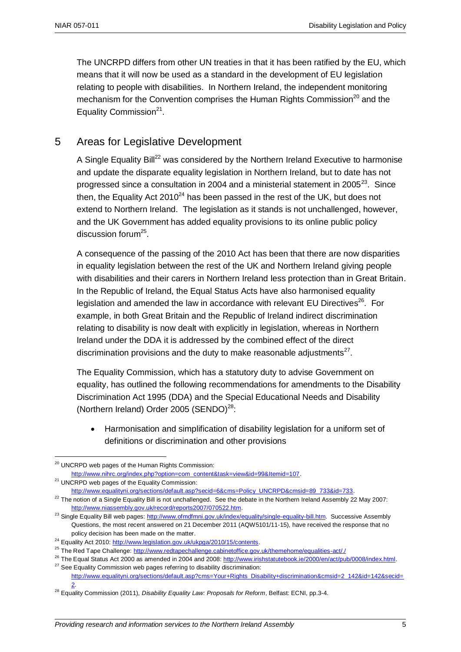The UNCRPD differs from other UN treaties in that it has been ratified by the EU, which means that it will now be used as a standard in the development of EU legislation relating to people with disabilities. In Northern Ireland, the independent monitoring mechanism for the Convention comprises the Human Rights Commission<sup>20</sup> and the Equality Commission<sup>21</sup>.

## 5 Areas for Legislative Development

A Single Equality Bill<sup>22</sup> was considered by the Northern Ireland Executive to harmonise and update the disparate equality legislation in Northern Ireland, but to date has not progressed since a consultation in 2004 and a ministerial statement in 2005 $^{23}$ . Since then, the Equality Act  $2010^{24}$  has been passed in the rest of the UK, but does not extend to Northern Ireland. The legislation as it stands is not unchallenged, however, and the UK Government has added equality provisions to its online public policy discussion forum<sup>25</sup>.

A consequence of the passing of the 2010 Act has been that there are now disparities in equality legislation between the rest of the UK and Northern Ireland giving people with disabilities and their carers in Northern Ireland less protection than in Great Britain. In the Republic of Ireland, the Equal Status Acts have also harmonised equality legislation and amended the law in accordance with relevant EU Directives<sup>26</sup>. For example, in both Great Britain and the Republic of Ireland indirect discrimination relating to disability is now dealt with explicitly in legislation, whereas in Northern Ireland under the DDA it is addressed by the combined effect of the direct discrimination provisions and the duty to make reasonable adjustments $^{27}$ .

The Equality Commission, which has a statutory duty to advise Government on equality, has outlined the following recommendations for amendments to the Disability Discrimination Act 1995 (DDA) and the Special Educational Needs and Disability (Northern Ireland) Order 2005 (SENDO)<sup>28</sup>:

 Harmonisation and simplification of disability legislation for a uniform set of definitions or discrimination and other provisions

<u>.</u>

<sup>&</sup>lt;sup>20</sup> UNCRPD web pages of the Human Rights Commission:

http://www.nihrc.org/index.php?option=com\_content&task=view&id=99&Itemid=107.

<sup>&</sup>lt;sup>21</sup> UNCRPD web pages of the Equality Commission:

http://www.equalityni.org/sections/default.asp?secid=6&cms=Policy\_UNCRPD&cmsid=89\_733&id=733.

 $22$  The notion of a Single Equality Bill is not unchallenged. See the debate in the Northern Ireland Assembly 22 May 2007: [http://www.niassembly.gov.uk/record/reports2007/070522.htm.](http://www.niassembly.gov.uk/record/reports2007/070522.htm)

<sup>&</sup>lt;sup>23</sup> Single Equality Bill web pages: [http://www.ofmdfmni.gov.uk/index/equality/single-equality-bill.htm.](http://www.ofmdfmni.gov.uk/index/equality/single-equality-bill.htm) Successive Assembly Questions, the most recent answered on 21 December 2011 (AQW5101/11-15), have received the response that no policy decision has been made on the matter.

<sup>&</sup>lt;sup>24</sup> Equality Act 2010[: http://www.legislation.gov.uk/ukpga/2010/15/contents.](http://www.legislation.gov.uk/ukpga/2010/15/contents)

<sup>&</sup>lt;sup>25</sup> The Red Tape Challenge[: http://www.redtapechallenge.cabinetoffice.gov.uk/themehome/equalities-act/./](http://www.redtapechallenge.cabinetoffice.gov.uk/themehome/equalities-act/)

<sup>&</sup>lt;sup>26</sup> The Equal Status Act 2000 as amended in 2004 and 2008[: http://www.irishstatutebook.ie/2000/en/act/pub/0008/index.html.](http://www.irishstatutebook.ie/2000/en/act/pub/0008/index.html)  $27$  See Equality Commission web pages referring to disability discrimination:

[http://www.equalityni.org/sections/default.asp?cms=Your+Rights\\_Disability+discrimination&cmsid=2\\_142&id=142&secid=](http://www.equalityni.org/sections/default.asp?cms=Your+Rights_Disability+discrimination&cmsid=2_142&id=142&secid=2) [2.](http://www.equalityni.org/sections/default.asp?cms=Your+Rights_Disability+discrimination&cmsid=2_142&id=142&secid=2) 

<sup>28</sup> Equality Commission (2011), *Disability Equality Law: Proposals for Reform*, Belfast: ECNI, pp.3-4.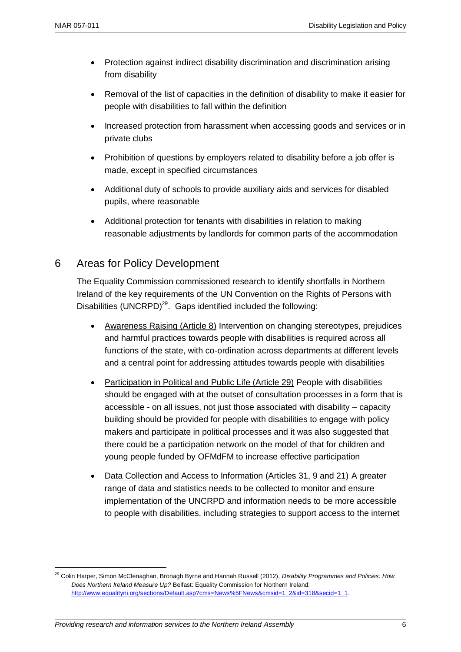1

- Protection against indirect disability discrimination and discrimination arising from disability
- Removal of the list of capacities in the definition of disability to make it easier for people with disabilities to fall within the definition
- Increased protection from harassment when accessing goods and services or in private clubs
- Prohibition of questions by employers related to disability before a job offer is made, except in specified circumstances
- Additional duty of schools to provide auxiliary aids and services for disabled pupils, where reasonable
- Additional protection for tenants with disabilities in relation to making reasonable adjustments by landlords for common parts of the accommodation

#### 6 Areas for Policy Development

The Equality Commission commissioned research to identify shortfalls in Northern Ireland of the key requirements of the UN Convention on the Rights of Persons with Disabilities (UNCRPD)<sup>29</sup>. Gaps identified included the following:

- Awareness Raising (Article 8) Intervention on changing stereotypes, prejudices and harmful practices towards people with disabilities is required across all functions of the state, with co-ordination across departments at different levels and a central point for addressing attitudes towards people with disabilities
- Participation in Political and Public Life (Article 29) People with disabilities should be engaged with at the outset of consultation processes in a form that is accessible - on all issues, not just those associated with disability – capacity building should be provided for people with disabilities to engage with policy makers and participate in political processes and it was also suggested that there could be a participation network on the model of that for children and young people funded by OFMdFM to increase effective participation
- Data Collection and Access to Information (Articles 31, 9 and 21) A greater range of data and statistics needs to be collected to monitor and ensure implementation of the UNCRPD and information needs to be more accessible to people with disabilities, including strategies to support access to the internet

<sup>29</sup> Colin Harper, Simon McClenaghan, Bronagh Byrne and Hannah Russell (2012), *Disability Programmes and Policies: How Does Northern Ireland Measure Up?* Belfast: Equality Commission for Northern Ireland: http://www.equalityni.org/sections/Default.asp?cms=News%5FNews&cmsid=1\_2&id=318&secid=1\_1.